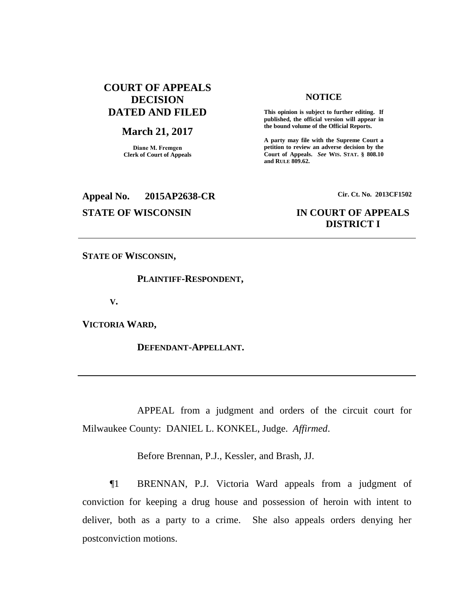# **COURT OF APPEALS DECISION DATED AND FILED**

### **March 21, 2017**

**Diane M. Fremgen Clerk of Court of Appeals**

# **NOTICE**

**This opinion is subject to further editing. If published, the official version will appear in the bound volume of the Official Reports.** 

**A party may file with the Supreme Court a petition to review an adverse decision by the Court of Appeals.** *See* **WIS. STAT. § 808.10 and RULE 809.62.** 

# **Appeal No. 2015AP2638-CR Cir. Ct. No. 2013CF1502**

# **STATE OF WISCONSIN IN COURT OF APPEALS DISTRICT I**

**STATE OF WISCONSIN,**

**PLAINTIFF-RESPONDENT,**

**V.**

**VICTORIA WARD,**

**DEFENDANT-APPELLANT.**

APPEAL from a judgment and orders of the circuit court for Milwaukee County: DANIEL L. KONKEL, Judge. *Affirmed*.

Before Brennan, P.J., Kessler, and Brash, JJ.

¶1 BRENNAN, P.J. Victoria Ward appeals from a judgment of conviction for keeping a drug house and possession of heroin with intent to deliver, both as a party to a crime. She also appeals orders denying her postconviction motions.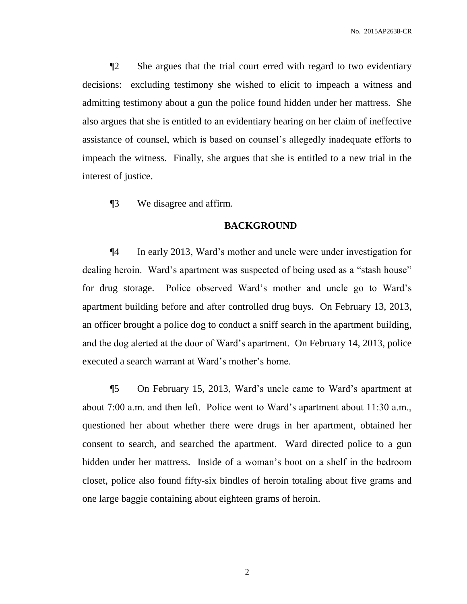¶2 She argues that the trial court erred with regard to two evidentiary decisions: excluding testimony she wished to elicit to impeach a witness and admitting testimony about a gun the police found hidden under her mattress. She also argues that she is entitled to an evidentiary hearing on her claim of ineffective assistance of counsel, which is based on counsel's allegedly inadequate efforts to impeach the witness. Finally, she argues that she is entitled to a new trial in the interest of justice.

¶3 We disagree and affirm.

### **BACKGROUND**

¶4 In early 2013, Ward's mother and uncle were under investigation for dealing heroin. Ward's apartment was suspected of being used as a "stash house" for drug storage. Police observed Ward's mother and uncle go to Ward's apartment building before and after controlled drug buys. On February 13, 2013, an officer brought a police dog to conduct a sniff search in the apartment building, and the dog alerted at the door of Ward's apartment. On February 14, 2013, police executed a search warrant at Ward's mother's home.

¶5 On February 15, 2013, Ward's uncle came to Ward's apartment at about 7:00 a.m. and then left. Police went to Ward's apartment about 11:30 a.m., questioned her about whether there were drugs in her apartment, obtained her consent to search, and searched the apartment. Ward directed police to a gun hidden under her mattress. Inside of a woman's boot on a shelf in the bedroom closet, police also found fifty-six bindles of heroin totaling about five grams and one large baggie containing about eighteen grams of heroin.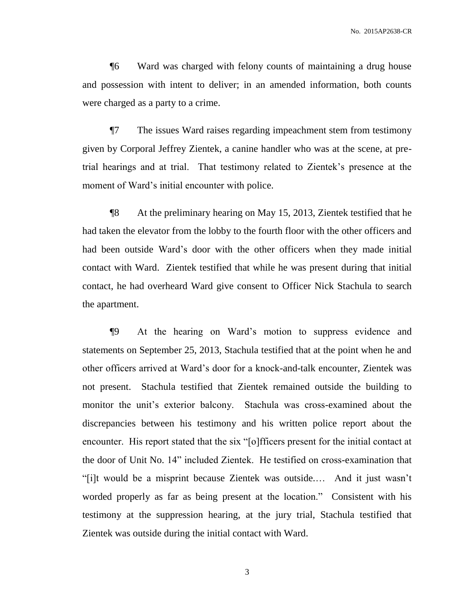¶6 Ward was charged with felony counts of maintaining a drug house and possession with intent to deliver; in an amended information, both counts were charged as a party to a crime.

¶7 The issues Ward raises regarding impeachment stem from testimony given by Corporal Jeffrey Zientek, a canine handler who was at the scene, at pretrial hearings and at trial. That testimony related to Zientek's presence at the moment of Ward's initial encounter with police.

¶8 At the preliminary hearing on May 15, 2013, Zientek testified that he had taken the elevator from the lobby to the fourth floor with the other officers and had been outside Ward's door with the other officers when they made initial contact with Ward. Zientek testified that while he was present during that initial contact, he had overheard Ward give consent to Officer Nick Stachula to search the apartment.

¶9 At the hearing on Ward's motion to suppress evidence and statements on September 25, 2013, Stachula testified that at the point when he and other officers arrived at Ward's door for a knock-and-talk encounter, Zientek was not present. Stachula testified that Zientek remained outside the building to monitor the unit's exterior balcony. Stachula was cross-examined about the discrepancies between his testimony and his written police report about the encounter. His report stated that the six "[o]fficers present for the initial contact at the door of Unit No. 14" included Zientek. He testified on cross-examination that "[i]t would be a misprint because Zientek was outside.… And it just wasn't worded properly as far as being present at the location." Consistent with his testimony at the suppression hearing, at the jury trial, Stachula testified that Zientek was outside during the initial contact with Ward.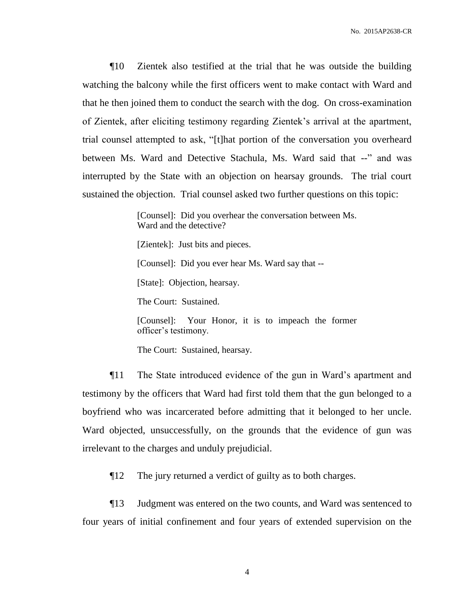¶10 Zientek also testified at the trial that he was outside the building watching the balcony while the first officers went to make contact with Ward and that he then joined them to conduct the search with the dog. On cross-examination of Zientek, after eliciting testimony regarding Zientek's arrival at the apartment, trial counsel attempted to ask, "[t]hat portion of the conversation you overheard between Ms. Ward and Detective Stachula, Ms. Ward said that --" and was interrupted by the State with an objection on hearsay grounds. The trial court sustained the objection. Trial counsel asked two further questions on this topic:

> [Counsel]: Did you overhear the conversation between Ms. Ward and the detective?

[Zientek]: Just bits and pieces.

[Counsel]: Did you ever hear Ms. Ward say that --

[State]: Objection, hearsay.

The Court: Sustained.

[Counsel]: Your Honor, it is to impeach the former officer's testimony.

The Court: Sustained, hearsay.

¶11 The State introduced evidence of the gun in Ward's apartment and testimony by the officers that Ward had first told them that the gun belonged to a boyfriend who was incarcerated before admitting that it belonged to her uncle. Ward objected, unsuccessfully, on the grounds that the evidence of gun was irrelevant to the charges and unduly prejudicial.

¶12 The jury returned a verdict of guilty as to both charges.

¶13 Judgment was entered on the two counts, and Ward was sentenced to four years of initial confinement and four years of extended supervision on the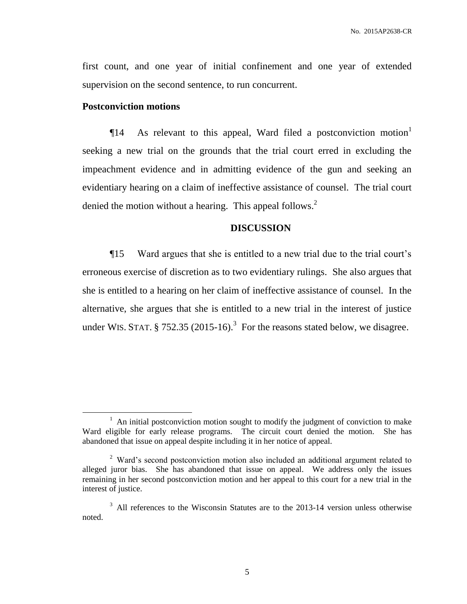first count, and one year of initial confinement and one year of extended supervision on the second sentence, to run concurrent.

## **Postconviction motions**

 $\overline{a}$ 

 $\P$ 14 As relevant to this appeal, Ward filed a postconviction motion seeking a new trial on the grounds that the trial court erred in excluding the impeachment evidence and in admitting evidence of the gun and seeking an evidentiary hearing on a claim of ineffective assistance of counsel. The trial court denied the motion without a hearing. This appeal follows.<sup>2</sup>

## **DISCUSSION**

¶15 Ward argues that she is entitled to a new trial due to the trial court's erroneous exercise of discretion as to two evidentiary rulings. She also argues that she is entitled to a hearing on her claim of ineffective assistance of counsel. In the alternative, she argues that she is entitled to a new trial in the interest of justice under WIS. STAT.  $\S 752.35 (2015-16).$ <sup>3</sup> For the reasons stated below, we disagree.

 $1$  An initial postconviction motion sought to modify the judgment of conviction to make Ward eligible for early release programs. The circuit court denied the motion. She has abandoned that issue on appeal despite including it in her notice of appeal.

 $2$  Ward's second postconviction motion also included an additional argument related to alleged juror bias. She has abandoned that issue on appeal. We address only the issues remaining in her second postconviction motion and her appeal to this court for a new trial in the interest of justice.

<sup>&</sup>lt;sup>3</sup> All references to the Wisconsin Statutes are to the 2013-14 version unless otherwise noted.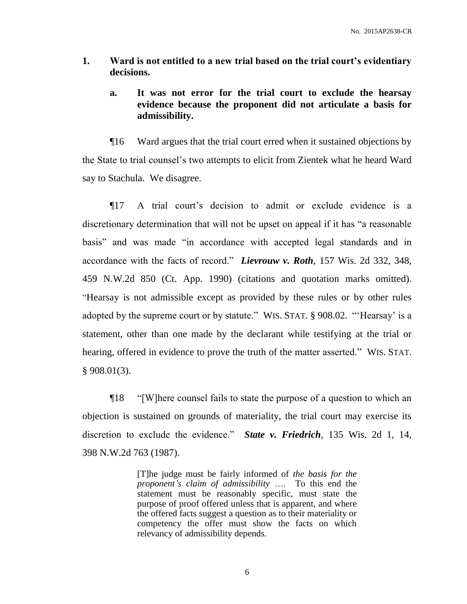- **1. Ward is not entitled to a new trial based on the trial court's evidentiary decisions.**
	- **a. It was not error for the trial court to exclude the hearsay evidence because the proponent did not articulate a basis for admissibility.**

¶16 Ward argues that the trial court erred when it sustained objections by the State to trial counsel's two attempts to elicit from Zientek what he heard Ward say to Stachula. We disagree.

¶17 A trial court's decision to admit or exclude evidence is a discretionary determination that will not be upset on appeal if it has "a reasonable basis" and was made "in accordance with accepted legal standards and in accordance with the facts of record." *Lievrouw v. Roth*, 157 Wis. 2d 332, 348, 459 N.W.2d 850 (Ct. App. 1990) (citations and quotation marks omitted). "Hearsay is not admissible except as provided by these rules or by other rules adopted by the supreme court or by statute." WIS. STAT. § 908.02. "'Hearsay' is a statement, other than one made by the declarant while testifying at the trial or hearing, offered in evidence to prove the truth of the matter asserted." WIS. STAT. § 908.01(3).

¶18 "[W]here counsel fails to state the purpose of a question to which an objection is sustained on grounds of materiality, the trial court may exercise its discretion to exclude the evidence." *State v. Friedrich*, 135 Wis. 2d 1, 14, 398 N.W.2d 763 (1987).

> [T]he judge must be fairly informed of *the basis for the proponent's claim of admissibility* …. To this end the statement must be reasonably specific, must state the purpose of proof offered unless that is apparent, and where the offered facts suggest a question as to their materiality or competency the offer must show the facts on which relevancy of admissibility depends.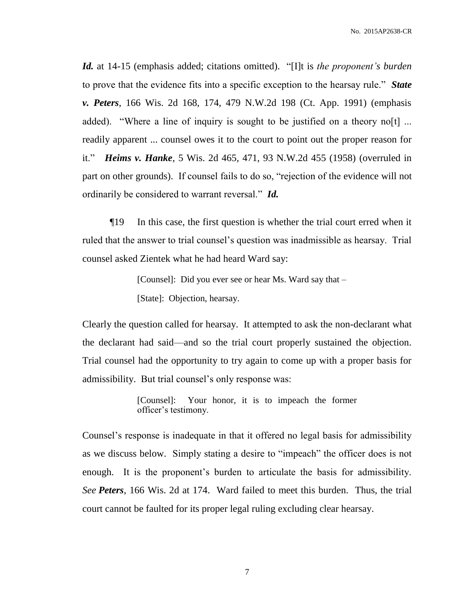*Id.* at 14-15 (emphasis added; citations omitted). "[I]t is *the proponent's burden* to prove that the evidence fits into a specific exception to the hearsay rule." *State v. Peters*, 166 Wis. 2d 168, 174, 479 N.W.2d 198 (Ct. App. 1991) (emphasis added). "Where a line of inquiry is sought to be justified on a theory no[t] ... readily apparent ... counsel owes it to the court to point out the proper reason for it." *Heims v. Hanke*, 5 Wis. 2d 465, 471, 93 N.W.2d 455 (1958) (overruled in part on other grounds). If counsel fails to do so, "rejection of the evidence will not ordinarily be considered to warrant reversal." *Id.*

¶19 In this case, the first question is whether the trial court erred when it ruled that the answer to trial counsel's question was inadmissible as hearsay. Trial counsel asked Zientek what he had heard Ward say:

> [Counsel]: Did you ever see or hear Ms. Ward say that – [State]: Objection, hearsay.

Clearly the question called for hearsay. It attempted to ask the non-declarant what the declarant had said––and so the trial court properly sustained the objection. Trial counsel had the opportunity to try again to come up with a proper basis for admissibility. But trial counsel's only response was:

> [Counsel]: Your honor, it is to impeach the former officer's testimony.

Counsel's response is inadequate in that it offered no legal basis for admissibility as we discuss below. Simply stating a desire to "impeach" the officer does is not enough. It is the proponent's burden to articulate the basis for admissibility. *See Peters*, 166 Wis. 2d at 174. Ward failed to meet this burden. Thus, the trial court cannot be faulted for its proper legal ruling excluding clear hearsay.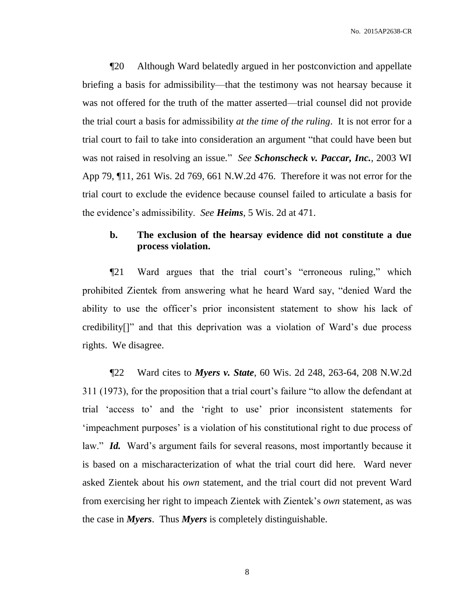¶20 Although Ward belatedly argued in her postconviction and appellate briefing a basis for admissibility––that the testimony was not hearsay because it was not offered for the truth of the matter asserted—trial counsel did not provide the trial court a basis for admissibility *at the time of the ruling*. It is not error for a trial court to fail to take into consideration an argument "that could have been but was not raised in resolving an issue*.*" *See Schonscheck v. Paccar, Inc.,* 2003 WI App 79, ¶11, 261 Wis. 2d 769, 661 N.W.2d 476. Therefore it was not error for the trial court to exclude the evidence because counsel failed to articulate a basis for the evidence's admissibility. *See Heims*, 5 Wis. 2d at 471.

# **b. The exclusion of the hearsay evidence did not constitute a due process violation.**

¶21 Ward argues that the trial court's "erroneous ruling," which prohibited Zientek from answering what he heard Ward say, "denied Ward the ability to use the officer's prior inconsistent statement to show his lack of credibility[]" and that this deprivation was a violation of Ward's due process rights. We disagree.

¶22 Ward cites to *Myers v. State*, 60 Wis. 2d 248, 263-64, 208 N.W.2d 311 (1973), for the proposition that a trial court's failure "to allow the defendant at trial 'access to' and the 'right to use' prior inconsistent statements for 'impeachment purposes' is a violation of his constitutional right to due process of law." *Id.* Ward's argument fails for several reasons, most importantly because it is based on a mischaracterization of what the trial court did here. Ward never asked Zientek about his *own* statement, and the trial court did not prevent Ward from exercising her right to impeach Zientek with Zientek's *own* statement, as was the case in *Myers*. Thus *Myers* is completely distinguishable.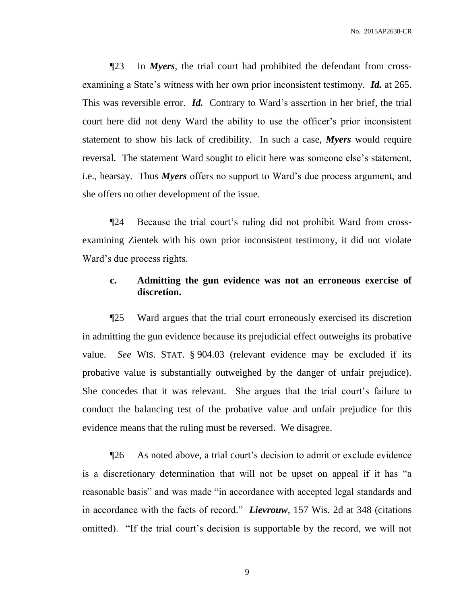¶23 In *Myers*, the trial court had prohibited the defendant from crossexamining a State's witness with her own prior inconsistent testimony. *Id.* at 265. This was reversible error. *Id.* Contrary to Ward's assertion in her brief, the trial court here did not deny Ward the ability to use the officer's prior inconsistent statement to show his lack of credibility. In such a case, *Myers* would require reversal. The statement Ward sought to elicit here was someone else's statement, i.e., hearsay. Thus *Myers* offers no support to Ward's due process argument, and she offers no other development of the issue.

¶24 Because the trial court's ruling did not prohibit Ward from crossexamining Zientek with his own prior inconsistent testimony, it did not violate Ward's due process rights.

# **c. Admitting the gun evidence was not an erroneous exercise of discretion.**

¶25 Ward argues that the trial court erroneously exercised its discretion in admitting the gun evidence because its prejudicial effect outweighs its probative value. *See* WIS. STAT. § 904.03 (relevant evidence may be excluded if its probative value is substantially outweighed by the danger of unfair prejudice). She concedes that it was relevant. She argues that the trial court's failure to conduct the balancing test of the probative value and unfair prejudice for this evidence means that the ruling must be reversed. We disagree.

¶26 As noted above, a trial court's decision to admit or exclude evidence is a discretionary determination that will not be upset on appeal if it has "a reasonable basis" and was made "in accordance with accepted legal standards and in accordance with the facts of record." *Lievrouw*, 157 Wis. 2d at 348 (citations omitted). "If the trial court's decision is supportable by the record, we will not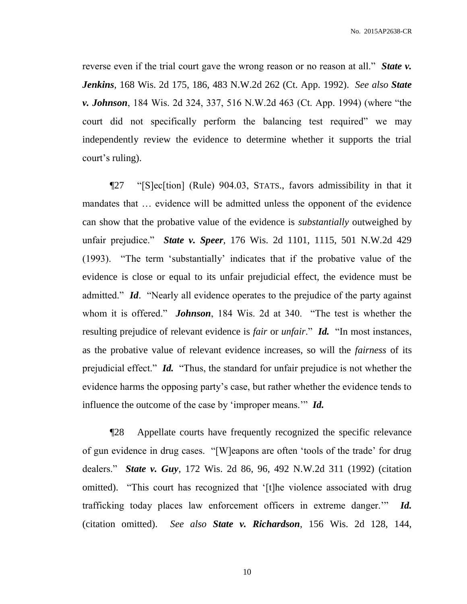reverse even if the trial court gave the wrong reason or no reason at all." *State v. Jenkins*, 168 Wis. 2d 175, 186, 483 N.W.2d 262 (Ct. App. 1992). *See also State v. Johnson*, 184 Wis. 2d 324, 337, 516 N.W.2d 463 (Ct. App. 1994) (where "the court did not specifically perform the balancing test required" we may independently review the evidence to determine whether it supports the trial court's ruling).

¶27 "[S]ec[tion] (Rule) 904.03, STATS., favors admissibility in that it mandates that … evidence will be admitted unless the opponent of the evidence can show that the probative value of the evidence is *substantially* outweighed by unfair prejudice." *State v. Speer*, 176 Wis. 2d 1101, 1115, 501 N.W.2d 429 (1993). "The term 'substantially' indicates that if the probative value of the evidence is close or equal to its unfair prejudicial effect, the evidence must be admitted." *Id*. "Nearly all evidence operates to the prejudice of the party against whom it is offered." *Johnson*, 184 Wis. 2d at 340. "The test is whether the resulting prejudice of relevant evidence is *fair* or *unfair*." *Id.* "In most instances, as the probative value of relevant evidence increases, so will the *fairness* of its prejudicial effect." *Id.* "Thus, the standard for unfair prejudice is not whether the evidence harms the opposing party's case, but rather whether the evidence tends to influence the outcome of the case by 'improper means.'" *Id.*

¶28 Appellate courts have frequently recognized the specific relevance of gun evidence in drug cases. "[W]eapons are often 'tools of the trade' for drug dealers." *State v. Guy*, 172 Wis. 2d 86, 96, 492 N.W.2d 311 (1992) (citation omitted). "This court has recognized that '[t]he violence associated with drug trafficking today places law enforcement officers in extreme danger.'" *Id.* (citation omitted). *See also State v. Richardson*, 156 Wis. 2d 128, 144,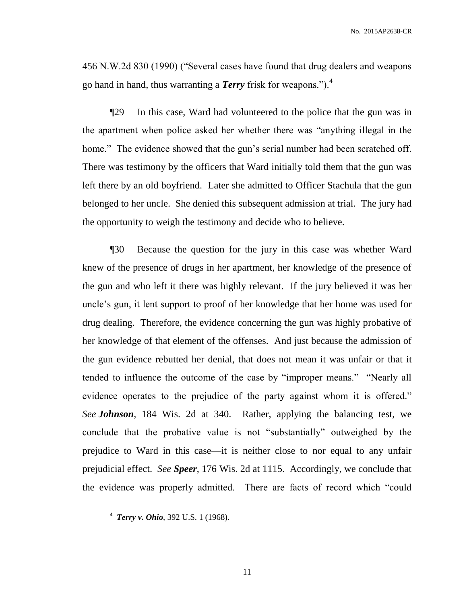456 N.W.2d 830 (1990) ("Several cases have found that drug dealers and weapons go hand in hand, thus warranting a *Terry* frisk for weapons.").<sup>4</sup>

¶29 In this case, Ward had volunteered to the police that the gun was in the apartment when police asked her whether there was "anything illegal in the home." The evidence showed that the gun's serial number had been scratched off. There was testimony by the officers that Ward initially told them that the gun was left there by an old boyfriend. Later she admitted to Officer Stachula that the gun belonged to her uncle. She denied this subsequent admission at trial. The jury had the opportunity to weigh the testimony and decide who to believe.

¶30 Because the question for the jury in this case was whether Ward knew of the presence of drugs in her apartment, her knowledge of the presence of the gun and who left it there was highly relevant. If the jury believed it was her uncle's gun, it lent support to proof of her knowledge that her home was used for drug dealing. Therefore, the evidence concerning the gun was highly probative of her knowledge of that element of the offenses. And just because the admission of the gun evidence rebutted her denial, that does not mean it was unfair or that it tended to influence the outcome of the case by "improper means." "Nearly all evidence operates to the prejudice of the party against whom it is offered." *See Johnson*, 184 Wis. 2d at 340. Rather, applying the balancing test, we conclude that the probative value is not "substantially" outweighed by the prejudice to Ward in this case––it is neither close to nor equal to any unfair prejudicial effect. *See Speer*, 176 Wis. 2d at 1115. Accordingly, we conclude that the evidence was properly admitted. There are facts of record which "could

 $\overline{a}$ 

<sup>4</sup> *Terry v. Ohio*, 392 U.S. 1 (1968).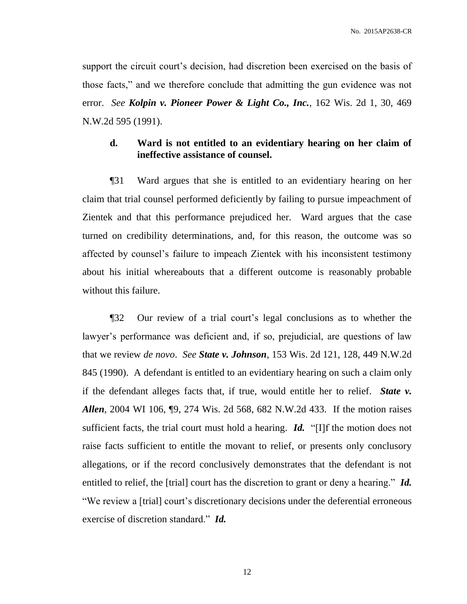support the circuit court's decision, had discretion been exercised on the basis of those facts," and we therefore conclude that admitting the gun evidence was not error. *See Kolpin v. Pioneer Power & Light Co., Inc.*, 162 Wis. 2d 1, 30, 469 N.W.2d 595 (1991).

# **d. Ward is not entitled to an evidentiary hearing on her claim of ineffective assistance of counsel.**

¶31 Ward argues that she is entitled to an evidentiary hearing on her claim that trial counsel performed deficiently by failing to pursue impeachment of Zientek and that this performance prejudiced her. Ward argues that the case turned on credibility determinations, and, for this reason, the outcome was so affected by counsel's failure to impeach Zientek with his inconsistent testimony about his initial whereabouts that a different outcome is reasonably probable without this failure.

¶32 Our review of a trial court's legal conclusions as to whether the lawyer's performance was deficient and, if so, prejudicial, are questions of law that we review *de novo*. *See State v. Johnson*, 153 Wis. 2d 121, 128, 449 N.W.2d 845 (1990). A defendant is entitled to an evidentiary hearing on such a claim only if the defendant alleges facts that, if true, would entitle her to relief. *State v. Allen*, 2004 WI 106, ¶9, 274 Wis. 2d 568, 682 N.W.2d 433. If the motion raises sufficient facts, the trial court must hold a hearing. *Id.* "[I]f the motion does not raise facts sufficient to entitle the movant to relief, or presents only conclusory allegations, or if the record conclusively demonstrates that the defendant is not entitled to relief, the [trial] court has the discretion to grant or deny a hearing." *Id.* "We review a [trial] court's discretionary decisions under the deferential erroneous exercise of discretion standard." *Id.*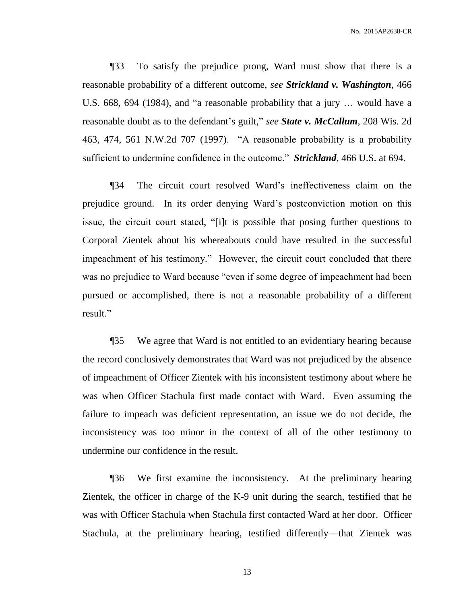¶33 To satisfy the prejudice prong, Ward must show that there is a reasonable probability of a different outcome, *see Strickland v. Washington*, 466 U.S. 668, 694 (1984), and "a reasonable probability that a jury … would have a reasonable doubt as to the defendant's guilt," *see State v. McCallum*, 208 Wis. 2d 463, 474, 561 N.W.2d 707 (1997). "A reasonable probability is a probability sufficient to undermine confidence in the outcome." *Strickland*, 466 U.S. at 694.

¶34 The circuit court resolved Ward's ineffectiveness claim on the prejudice ground. In its order denying Ward's postconviction motion on this issue, the circuit court stated, "[i]t is possible that posing further questions to Corporal Zientek about his whereabouts could have resulted in the successful impeachment of his testimony." However, the circuit court concluded that there was no prejudice to Ward because "even if some degree of impeachment had been pursued or accomplished, there is not a reasonable probability of a different result."

¶35 We agree that Ward is not entitled to an evidentiary hearing because the record conclusively demonstrates that Ward was not prejudiced by the absence of impeachment of Officer Zientek with his inconsistent testimony about where he was when Officer Stachula first made contact with Ward. Even assuming the failure to impeach was deficient representation, an issue we do not decide, the inconsistency was too minor in the context of all of the other testimony to undermine our confidence in the result.

¶36 We first examine the inconsistency. At the preliminary hearing Zientek, the officer in charge of the K-9 unit during the search, testified that he was with Officer Stachula when Stachula first contacted Ward at her door. Officer Stachula, at the preliminary hearing, testified differently––that Zientek was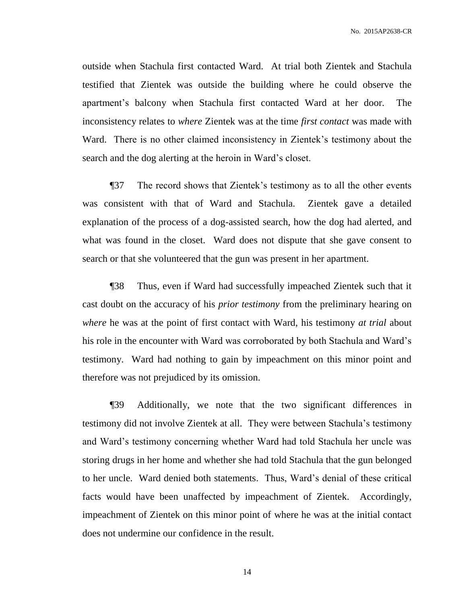outside when Stachula first contacted Ward. At trial both Zientek and Stachula testified that Zientek was outside the building where he could observe the apartment's balcony when Stachula first contacted Ward at her door. The inconsistency relates to *where* Zientek was at the time *first contact* was made with Ward. There is no other claimed inconsistency in Zientek's testimony about the search and the dog alerting at the heroin in Ward's closet.

¶37 The record shows that Zientek's testimony as to all the other events was consistent with that of Ward and Stachula. Zientek gave a detailed explanation of the process of a dog-assisted search, how the dog had alerted, and what was found in the closet. Ward does not dispute that she gave consent to search or that she volunteered that the gun was present in her apartment.

¶38 Thus, even if Ward had successfully impeached Zientek such that it cast doubt on the accuracy of his *prior testimony* from the preliminary hearing on *where* he was at the point of first contact with Ward, his testimony *at trial* about his role in the encounter with Ward was corroborated by both Stachula and Ward's testimony. Ward had nothing to gain by impeachment on this minor point and therefore was not prejudiced by its omission.

¶39 Additionally, we note that the two significant differences in testimony did not involve Zientek at all. They were between Stachula's testimony and Ward's testimony concerning whether Ward had told Stachula her uncle was storing drugs in her home and whether she had told Stachula that the gun belonged to her uncle. Ward denied both statements. Thus, Ward's denial of these critical facts would have been unaffected by impeachment of Zientek. Accordingly, impeachment of Zientek on this minor point of where he was at the initial contact does not undermine our confidence in the result.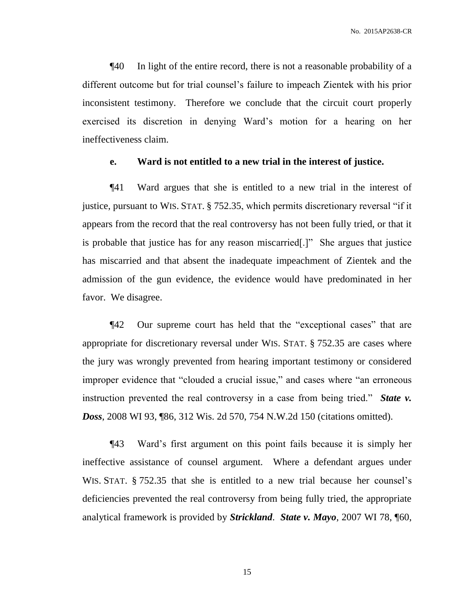¶40 In light of the entire record, there is not a reasonable probability of a different outcome but for trial counsel's failure to impeach Zientek with his prior inconsistent testimony. Therefore we conclude that the circuit court properly exercised its discretion in denying Ward's motion for a hearing on her ineffectiveness claim.

#### **e. Ward is not entitled to a new trial in the interest of justice.**

¶41 Ward argues that she is entitled to a new trial in the interest of justice, pursuant to WIS. STAT. § 752.35, which permits discretionary reversal "if it appears from the record that the real controversy has not been fully tried, or that it is probable that justice has for any reason miscarried[.]" She argues that justice has miscarried and that absent the inadequate impeachment of Zientek and the admission of the gun evidence, the evidence would have predominated in her favor. We disagree.

¶42 Our supreme court has held that the "exceptional cases" that are appropriate for discretionary reversal under WIS. STAT. § 752.35 are cases where the jury was wrongly prevented from hearing important testimony or considered improper evidence that "clouded a crucial issue," and cases where "an erroneous instruction prevented the real controversy in a case from being tried." *State v. Doss*, 2008 WI 93, ¶86, 312 Wis. 2d 570, 754 N.W.2d 150 (citations omitted).

¶43 Ward's first argument on this point fails because it is simply her ineffective assistance of counsel argument. Where a defendant argues under WIS. STAT. § 752.35 that she is entitled to a new trial because her counsel's deficiencies prevented the real controversy from being fully tried, the appropriate analytical framework is provided by *Strickland*. *State v. Mayo*, 2007 WI 78, ¶60,